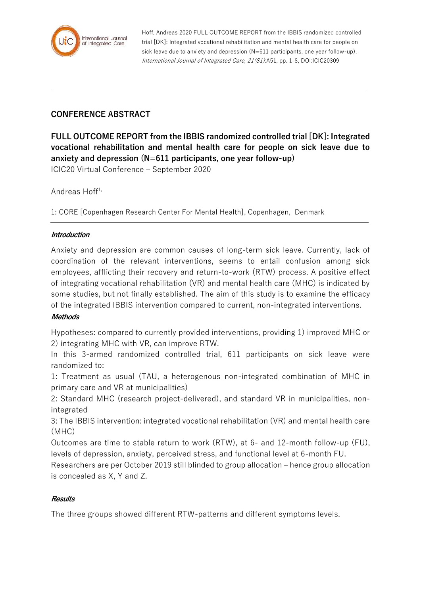

Hoff, Andreas 2020 FULL OUTCOME REPORT from the IBBIS randomized controlled trial [DK]: Integrated vocational rehabilitation and mental health care for people on sick leave due to anxiety and depression (N=611 participants, one year follow-up). International Journal of Integrated Care, 21(S1):A51, pp. 1-8, DOI:ICIC20309

# **CONFERENCE ABSTRACT**

**FULL OUTCOME REPORT from the IBBIS randomized controlled trial [DK]: Integrated vocational rehabilitation and mental health care for people on sick leave due to anxiety and depression (N=611 participants, one year follow-up)** ICIC20 Virtual Conference – September 2020

Andreas  $H$ off<sup>1,</sup>

1: CORE [Copenhagen Research Center For Mental Health], Copenhagen, Denmark

### **Introduction**

Anxiety and depression are common causes of long-term sick leave. Currently, lack of coordination of the relevant interventions, seems to entail confusion among sick employees, afflicting their recovery and return-to-work (RTW) process. A positive effect of integrating vocational rehabilitation (VR) and mental health care (MHC) is indicated by some studies, but not finally established. The aim of this study is to examine the efficacy of the integrated IBBIS intervention compared to current, non-integrated interventions.

### **Methods**

Hypotheses: compared to currently provided interventions, providing 1) improved MHC or 2) integrating MHC with VR, can improve RTW.

In this 3-armed randomized controlled trial, 611 participants on sick leave were randomized to:

1: Treatment as usual (TAU, a heterogenous non-integrated combination of MHC in primary care and VR at municipalities)

2: Standard MHC (research project-delivered), and standard VR in municipalities, nonintegrated

3: The IBBIS intervention: integrated vocational rehabilitation (VR) and mental health care (MHC)

Outcomes are time to stable return to work (RTW), at 6- and 12-month follow-up (FU), levels of depression, anxiety, perceived stress, and functional level at 6-month FU.

Researchers are per October 2019 still blinded to group allocation – hence group allocation is concealed as X, Y and Z.

### **Results**

The three groups showed different RTW-patterns and different symptoms levels.